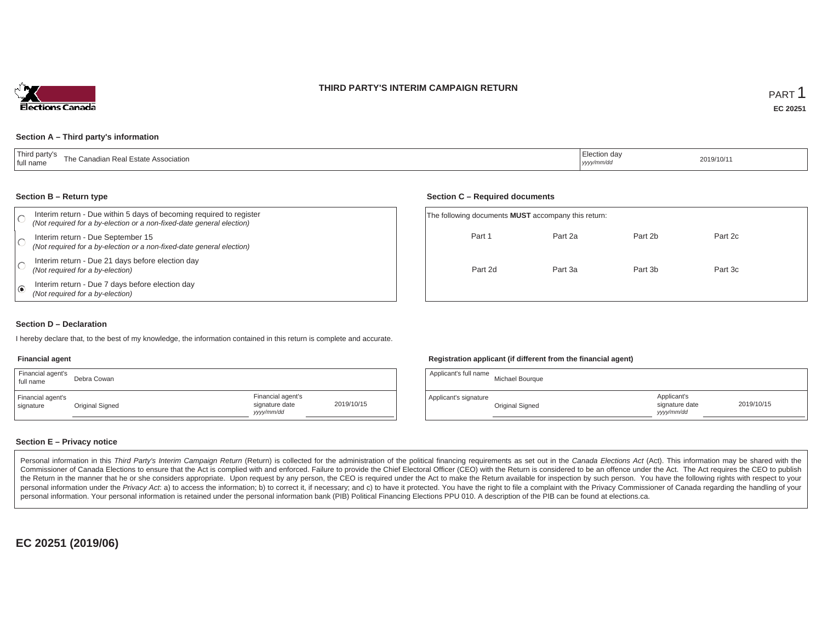### **THIRD PARTY'S INTERIM CAMPAIGN RETURN**



#### **Section A – Third party's information**

#### **Section B – Return type**

| Interim return - Due within 5 days of becoming required to register<br>(Not required for a by-election or a non-fixed-date general election) | The following documents <b>MUST</b> accompany this return: |         |         |         |  |
|----------------------------------------------------------------------------------------------------------------------------------------------|------------------------------------------------------------|---------|---------|---------|--|
| Interim return - Due September 15<br>(Not required for a by-election or a non-fixed-date general election)                                   | Part 1                                                     | Part 2a | Part 2b | Part 2c |  |
| Interim return - Due 21 days before election day<br>(Not required for a by-election)                                                         | Part 2d                                                    | Part 3a | Part 3b | Part 3c |  |
| Interim return - Due 7 days before election day<br>(Not required for a by-election)                                                          |                                                            |         |         |         |  |

### **Section D – Declaration**

I hereby declare that, to the best of my knowledge, the information contained in this return is complete and accurate.

#### **Financial agent**

| Financial agent's<br>full name | Debra Cowan     |                                                  |            |
|--------------------------------|-----------------|--------------------------------------------------|------------|
| Financial agent's<br>signature | Original Signed | Financial agent's<br>signature date<br>vyy/mm/dd | 2019/10/15 |

### **Registration applicant (if different from the financial agent)**

**Section C – Required documents**

| Applicant's full name | Michael Bourque |                                             |            |
|-----------------------|-----------------|---------------------------------------------|------------|
| Applicant's signature | Original Signed | Applicant's<br>signature date<br>yyyy/mm/dd | 2019/10/15 |

### **Section E – Privacy notice**

Personal information in this Third Party's Interim Campaign Return (Return) is collected for the administration of the political financing requirements as set out in the Canada Elections Act (Act). This information may be Commissioner of Canada Elections to ensure that the Act is complied with and enforced. Failure to provide the Chief Electoral Officer (CEO) with the Return is considered to be an offence under the Act. The Act requires the the Return in the manner that he or she considers appropriate. Upon request by any person, the CEO is required under the Act to make the Return available for inspection by such person. You have the following rights with re personal information under the Privacy Act. a) to access the information; b) to correct it, if necessary; and c) to have it protected. You have the right to file a complaint with the Privacy Commissioner of Canada regardin personal information. Your personal information is retained under the personal information bank (PIB) Political Financing Elections PPU 010. A description of the PIB can be found at elections.ca.

**EC 20251 (2019/06)**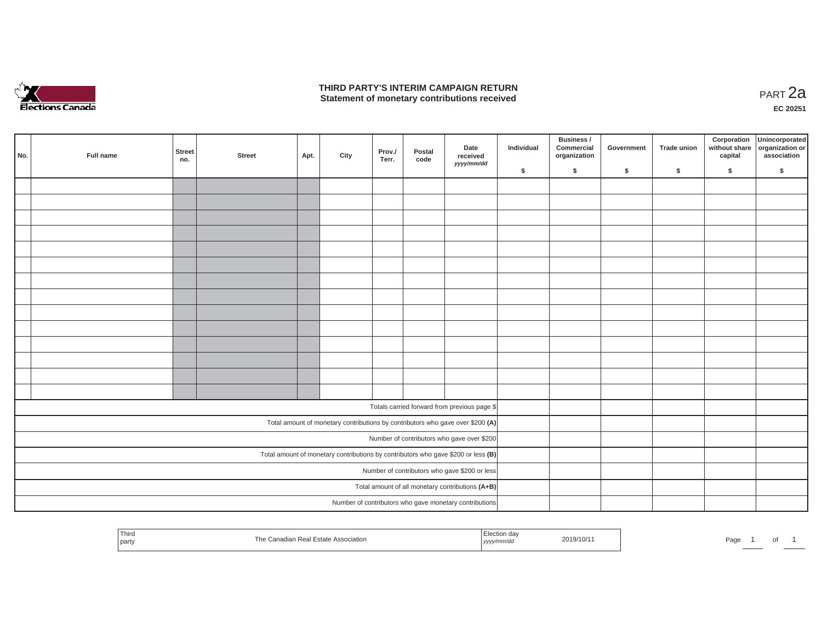

## **THIRD PARTY'S INTERIM CAMPAIGN RETURN THIRD PARTY'S INTERIM CAMPAIGN RETURN<br>Statement of monetary contributions received PART 2a**

| No. | Full name                                                                           | <b>Street</b><br>no. | <b>Street</b> | Apt. | City | Prov./<br>Terr. | Postal<br>code | Date<br>received<br>yyyy/mm/dd                                                 | Individual | Business /<br>Commercial<br>organization | Government | Trade union | Corporation | Unincorporated<br>without share<br>capital dissociation or<br>association |
|-----|-------------------------------------------------------------------------------------|----------------------|---------------|------|------|-----------------|----------------|--------------------------------------------------------------------------------|------------|------------------------------------------|------------|-------------|-------------|---------------------------------------------------------------------------|
|     |                                                                                     |                      |               |      |      |                 |                |                                                                                | \$         | \$                                       | \$         | $\sqrt{2}$  | \$          | \$                                                                        |
|     |                                                                                     |                      |               |      |      |                 |                |                                                                                |            |                                          |            |             |             |                                                                           |
|     |                                                                                     |                      |               |      |      |                 |                |                                                                                |            |                                          |            |             |             |                                                                           |
|     |                                                                                     |                      |               |      |      |                 |                |                                                                                |            |                                          |            |             |             |                                                                           |
|     |                                                                                     |                      |               |      |      |                 |                |                                                                                |            |                                          |            |             |             |                                                                           |
|     |                                                                                     |                      |               |      |      |                 |                |                                                                                |            |                                          |            |             |             |                                                                           |
|     |                                                                                     |                      |               |      |      |                 |                |                                                                                |            |                                          |            |             |             |                                                                           |
|     |                                                                                     |                      |               |      |      |                 |                |                                                                                |            |                                          |            |             |             |                                                                           |
|     |                                                                                     |                      |               |      |      |                 |                |                                                                                |            |                                          |            |             |             |                                                                           |
|     |                                                                                     |                      |               |      |      |                 |                |                                                                                |            |                                          |            |             |             |                                                                           |
|     |                                                                                     |                      |               |      |      |                 |                |                                                                                |            |                                          |            |             |             |                                                                           |
|     |                                                                                     |                      |               |      |      |                 |                |                                                                                |            |                                          |            |             |             |                                                                           |
|     |                                                                                     |                      |               |      |      |                 |                |                                                                                |            |                                          |            |             |             |                                                                           |
|     |                                                                                     |                      |               |      |      |                 |                |                                                                                |            |                                          |            |             |             |                                                                           |
|     |                                                                                     |                      |               |      |      |                 |                |                                                                                |            |                                          |            |             |             |                                                                           |
|     |                                                                                     |                      |               |      |      |                 |                | Totals carried forward from previous page \$                                   |            |                                          |            |             |             |                                                                           |
|     |                                                                                     |                      |               |      |      |                 |                | Total amount of monetary contributions by contributors who gave over \$200 (A) |            |                                          |            |             |             |                                                                           |
|     |                                                                                     |                      |               |      |      |                 |                | Number of contributors who gave over \$200                                     |            |                                          |            |             |             |                                                                           |
|     | Total amount of monetary contributions by contributors who gave \$200 or less $(B)$ |                      |               |      |      |                 |                |                                                                                |            |                                          |            |             |             |                                                                           |
|     |                                                                                     |                      |               |      |      |                 |                | Number of contributors who gave \$200 or less                                  |            |                                          |            |             |             |                                                                           |
|     |                                                                                     |                      |               |      |      |                 |                | Total amount of all monetary contributions (A+B)                               |            |                                          |            |             |             |                                                                           |
|     |                                                                                     |                      |               |      |      |                 |                | Number of contributors who gave monetary contributions                         |            |                                          |            |             |             |                                                                           |

| Third<br>party |  | ı da<br>2019/10/1<br>,,,,, | Page.<br>ັ |
|----------------|--|----------------------------|------------|
|----------------|--|----------------------------|------------|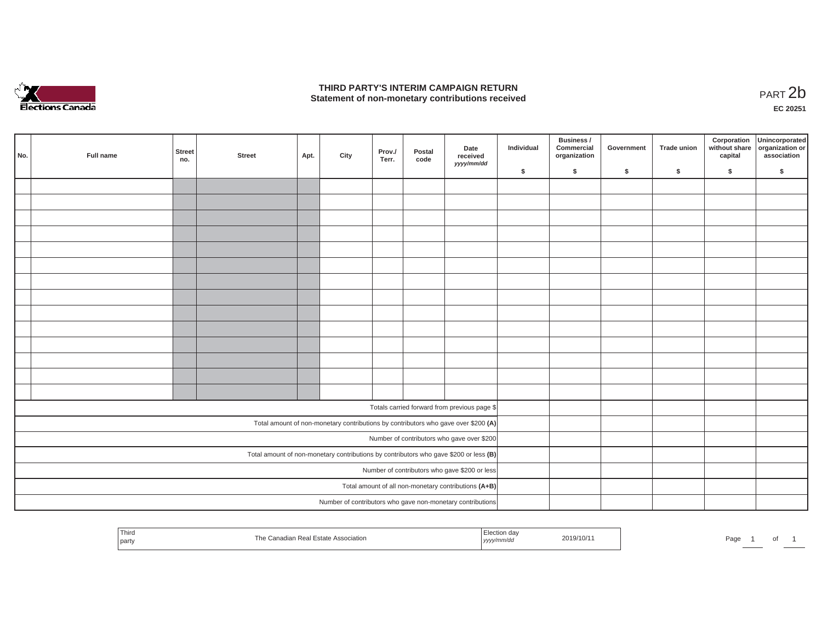

## **THIRD PARTY'S INTERIM CAMPAIGN RETURN**  THIRD PARTY'S INTERIM CAMPAIGN RETURN<br>Statement of non-monetary contributions received<br>**PART 2**b

**EC 20251**

| No. | Full name | Street<br>no. | <b>Street</b> | Apt. | City | Prov./<br>Terr. | Postal<br>code | Date<br>received                                                                      | Individual | Business /<br>Commercial<br>organization | Government | <b>Trade union</b> | Corporation<br>capital | Unincorporated<br>without share organization or<br>association |
|-----|-----------|---------------|---------------|------|------|-----------------|----------------|---------------------------------------------------------------------------------------|------------|------------------------------------------|------------|--------------------|------------------------|----------------------------------------------------------------|
|     |           |               |               |      |      |                 |                | yyyy/mm/dd                                                                            | \$         | \$                                       | \$         | \$                 | \$                     | \$                                                             |
|     |           |               |               |      |      |                 |                |                                                                                       |            |                                          |            |                    |                        |                                                                |
|     |           |               |               |      |      |                 |                |                                                                                       |            |                                          |            |                    |                        |                                                                |
|     |           |               |               |      |      |                 |                |                                                                                       |            |                                          |            |                    |                        |                                                                |
|     |           |               |               |      |      |                 |                |                                                                                       |            |                                          |            |                    |                        |                                                                |
|     |           |               |               |      |      |                 |                |                                                                                       |            |                                          |            |                    |                        |                                                                |
|     |           |               |               |      |      |                 |                |                                                                                       |            |                                          |            |                    |                        |                                                                |
|     |           |               |               |      |      |                 |                |                                                                                       |            |                                          |            |                    |                        |                                                                |
|     |           |               |               |      |      |                 |                |                                                                                       |            |                                          |            |                    |                        |                                                                |
|     |           |               |               |      |      |                 |                |                                                                                       |            |                                          |            |                    |                        |                                                                |
|     |           |               |               |      |      |                 |                |                                                                                       |            |                                          |            |                    |                        |                                                                |
|     |           |               |               |      |      |                 |                |                                                                                       |            |                                          |            |                    |                        |                                                                |
|     |           |               |               |      |      |                 |                |                                                                                       |            |                                          |            |                    |                        |                                                                |
|     |           |               |               |      |      |                 |                |                                                                                       |            |                                          |            |                    |                        |                                                                |
|     |           |               |               |      |      |                 |                |                                                                                       |            |                                          |            |                    |                        |                                                                |
|     |           |               |               |      |      |                 |                | Totals carried forward from previous page \$                                          |            |                                          |            |                    |                        |                                                                |
|     |           |               |               |      |      |                 |                | Total amount of non-monetary contributions by contributors who gave over \$200 (A)    |            |                                          |            |                    |                        |                                                                |
|     |           |               |               |      |      |                 |                | Number of contributors who gave over \$200                                            |            |                                          |            |                    |                        |                                                                |
|     |           |               |               |      |      |                 |                | Total amount of non-monetary contributions by contributors who gave \$200 or less (B) |            |                                          |            |                    |                        |                                                                |
|     |           |               |               |      |      |                 |                | Number of contributors who gave \$200 or less                                         |            |                                          |            |                    |                        |                                                                |
|     |           |               |               |      |      |                 |                | Total amount of all non-monetary contributions (A+B)                                  |            |                                          |            |                    |                        |                                                                |
|     |           |               |               |      |      |                 |                | Number of contributors who gave non-monetary contributions                            |            |                                          |            |                    |                        |                                                                |

| Third<br>ection dav<br>2019/10/1<br><b>Association</b><br>Estate.<br>∟Real F<br>party<br>mm/ac<br>, <i>yyyy</i> | Page<br>וש |
|-----------------------------------------------------------------------------------------------------------------|------------|
|-----------------------------------------------------------------------------------------------------------------|------------|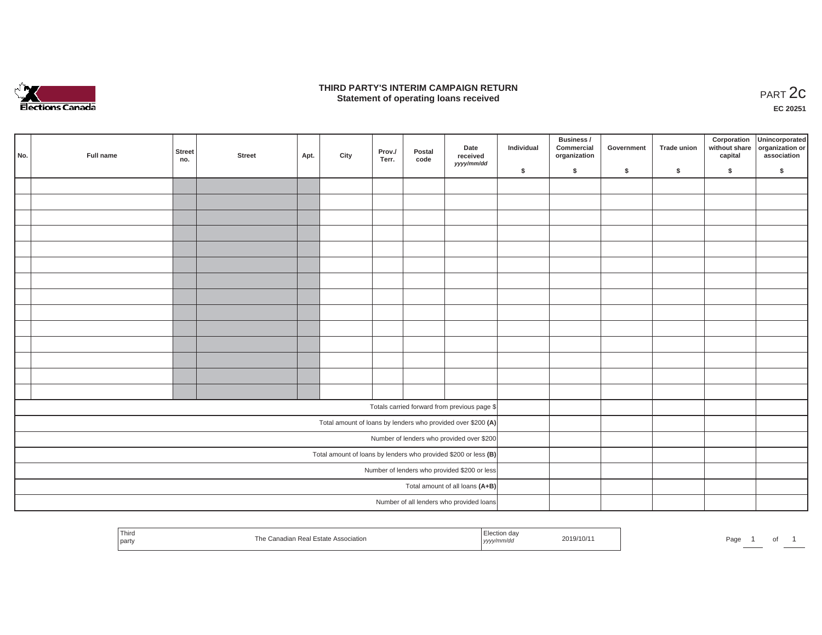

## **THIRD PARTY'S INTERIM CAMPAIGN RETURN**  RD PARTY'S INTERIM CAMPAIGN RETURN<br>Statement of operating loans received **PART 2c**

**EC 20251**

|                                           |           |                                                                 |        |      |      |                 |                |                                                              |            | Business /                 |            |             |         | Corporation Unincorporated<br>without share organization or |
|-------------------------------------------|-----------|-----------------------------------------------------------------|--------|------|------|-----------------|----------------|--------------------------------------------------------------|------------|----------------------------|------------|-------------|---------|-------------------------------------------------------------|
| No.                                       | Full name | Street<br>no.                                                   | Street | Apt. | City | Prov./<br>Terr. | Postal<br>code | Date<br>received                                             | Individual | Commercial<br>organization | Government | Trade union | capital | association                                                 |
|                                           |           |                                                                 |        |      |      |                 |                | yyyy/mm/dd                                                   | \$         | $\sqrt{2}$                 | \$         | $\sqrt{2}$  | \$      | \$                                                          |
|                                           |           |                                                                 |        |      |      |                 |                |                                                              |            |                            |            |             |         |                                                             |
|                                           |           |                                                                 |        |      |      |                 |                |                                                              |            |                            |            |             |         |                                                             |
|                                           |           |                                                                 |        |      |      |                 |                |                                                              |            |                            |            |             |         |                                                             |
|                                           |           |                                                                 |        |      |      |                 |                |                                                              |            |                            |            |             |         |                                                             |
|                                           |           |                                                                 |        |      |      |                 |                |                                                              |            |                            |            |             |         |                                                             |
|                                           |           |                                                                 |        |      |      |                 |                |                                                              |            |                            |            |             |         |                                                             |
|                                           |           |                                                                 |        |      |      |                 |                |                                                              |            |                            |            |             |         |                                                             |
|                                           |           |                                                                 |        |      |      |                 |                |                                                              |            |                            |            |             |         |                                                             |
|                                           |           |                                                                 |        |      |      |                 |                |                                                              |            |                            |            |             |         |                                                             |
|                                           |           |                                                                 |        |      |      |                 |                |                                                              |            |                            |            |             |         |                                                             |
|                                           |           |                                                                 |        |      |      |                 |                |                                                              |            |                            |            |             |         |                                                             |
|                                           |           |                                                                 |        |      |      |                 |                |                                                              |            |                            |            |             |         |                                                             |
|                                           |           |                                                                 |        |      |      |                 |                |                                                              |            |                            |            |             |         |                                                             |
|                                           |           |                                                                 |        |      |      |                 |                |                                                              |            |                            |            |             |         |                                                             |
|                                           |           |                                                                 |        |      |      |                 |                | Totals carried forward from previous page \$                 |            |                            |            |             |         |                                                             |
|                                           |           |                                                                 |        |      |      |                 |                | Total amount of loans by lenders who provided over \$200 (A) |            |                            |            |             |         |                                                             |
| Number of lenders who provided over \$200 |           |                                                                 |        |      |      |                 |                |                                                              |            |                            |            |             |         |                                                             |
|                                           |           | Total amount of loans by lenders who provided \$200 or less (B) |        |      |      |                 |                |                                                              |            |                            |            |             |         |                                                             |
|                                           |           |                                                                 |        |      |      |                 |                | Number of lenders who provided \$200 or less                 |            |                            |            |             |         |                                                             |
|                                           |           |                                                                 |        |      |      |                 |                | Total amount of all loans (A+B)                              |            |                            |            |             |         |                                                             |
|                                           |           |                                                                 |        |      |      |                 |                | Number of all lenders who provided loans                     |            |                            |            |             |         |                                                             |

| Third   |                                                     | า da√             | 2019/10/1 |      |   |
|---------|-----------------------------------------------------|-------------------|-----------|------|---|
| ' party | : Canadian Real<br><b>Estate Association</b><br>ne. | 'nm/aa<br>yyyy/rr |           | Page | ັ |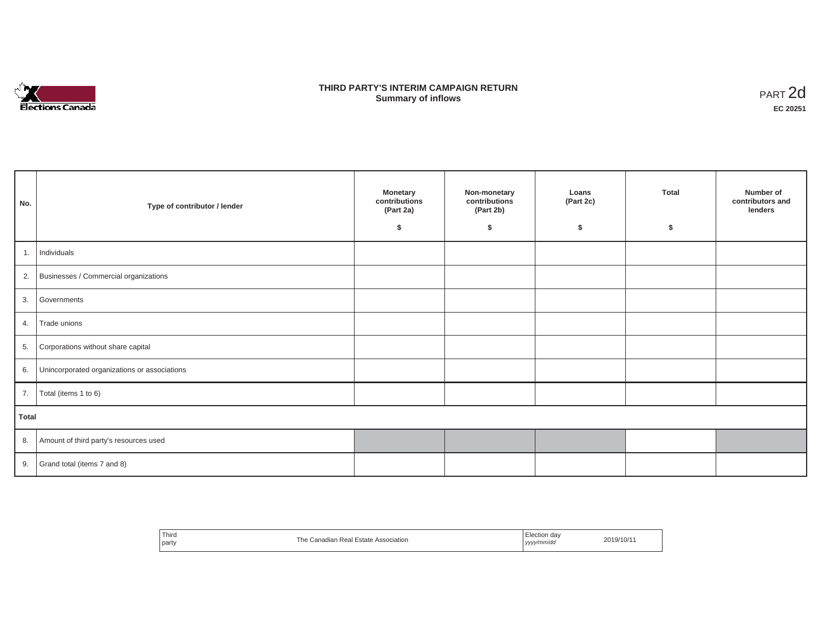

## **THIRD PARTY'S INTERIM CAMPAIGN RETURN SUMMARY STATE SUMMARY OF A SUMMARY OF A SUMMARY OF A SUMMARY OF A SUMMARY OF A SUMMARY OF A SUMMARY OF A SUMMA**<br> **Summary of inflows**

| No.   | Type of contributor / lender                    | <b>Monetary</b><br>contributions<br>(Part 2a)<br>Ŝ. | Non-monetary<br>contributions<br>(Part 2b)<br>\$ | Loans<br>(Part 2c)<br>\$ | <b>Total</b><br>\$ | Number of<br>contributors and<br>lenders |
|-------|-------------------------------------------------|-----------------------------------------------------|--------------------------------------------------|--------------------------|--------------------|------------------------------------------|
|       | 1. Individuals                                  |                                                     |                                                  |                          |                    |                                          |
|       | 2. Businesses / Commercial organizations        |                                                     |                                                  |                          |                    |                                          |
| 3.    | Governments                                     |                                                     |                                                  |                          |                    |                                          |
|       | 4. Trade unions                                 |                                                     |                                                  |                          |                    |                                          |
| 5.    | Corporations without share capital              |                                                     |                                                  |                          |                    |                                          |
|       | 6. Unincorporated organizations or associations |                                                     |                                                  |                          |                    |                                          |
|       | 7.   Total (items 1 to 6)                       |                                                     |                                                  |                          |                    |                                          |
| Total |                                                 |                                                     |                                                  |                          |                    |                                          |
|       | 8. Amount of third party's resources used       |                                                     |                                                  |                          |                    |                                          |
|       | 9. Grand total (items $7$ and $8$ )             |                                                     |                                                  |                          |                    |                                          |

| Third                                | Election dav |
|--------------------------------------|--------------|
| The Canadian Real Estate Association | 2019/10/1    |
| party                                | yyyy/mm/dd   |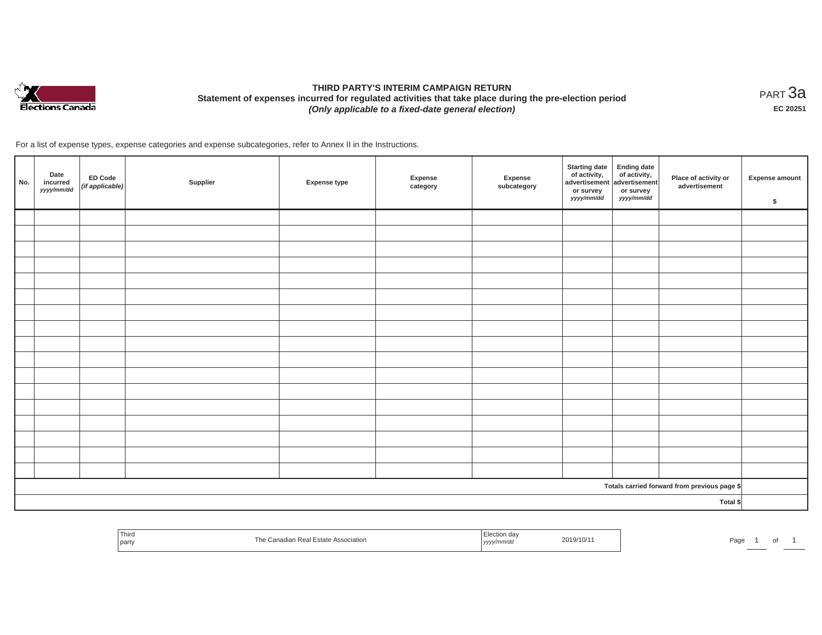

# **THIRD PARTY'S INTERIM CAMPAIGN RETURN Statement of expenses incurred for regulated activities that take place during the pre-election period**  *(Only applicable to a fixed-date general election)*

<code>PART $3$ a</code> **EC 20251**

For a list of expense types, expense categories and expense subcategories, refer to Annex II in the Instructions.

| No.      | Date<br>incurred<br>yyyy/mm/dd | <b>ED Code</b><br>(if applicable) | Supplier | <b>Expense type</b> | Expense<br>category | Expense<br>subcategory | <b>Starting date</b><br>of activity, $\begin{vmatrix} 1 & 1 \\ 0 & 0 \end{vmatrix}$ of activity,<br>or survey<br>yyyy/mm/dd | <b>Ending date</b><br>or survey<br>yyyy/mm/dd | Place of activity or<br>advertisement        | <b>Expense amount</b><br>$\sqrt[6]{\frac{1}{2}}$ |
|----------|--------------------------------|-----------------------------------|----------|---------------------|---------------------|------------------------|-----------------------------------------------------------------------------------------------------------------------------|-----------------------------------------------|----------------------------------------------|--------------------------------------------------|
|          |                                |                                   |          |                     |                     |                        |                                                                                                                             |                                               |                                              |                                                  |
|          |                                |                                   |          |                     |                     |                        |                                                                                                                             |                                               |                                              |                                                  |
|          |                                |                                   |          |                     |                     |                        |                                                                                                                             |                                               |                                              |                                                  |
|          |                                |                                   |          |                     |                     |                        |                                                                                                                             |                                               |                                              |                                                  |
|          |                                |                                   |          |                     |                     |                        |                                                                                                                             |                                               |                                              |                                                  |
|          |                                |                                   |          |                     |                     |                        |                                                                                                                             |                                               |                                              |                                                  |
|          |                                |                                   |          |                     |                     |                        |                                                                                                                             |                                               |                                              |                                                  |
|          |                                |                                   |          |                     |                     |                        |                                                                                                                             |                                               |                                              |                                                  |
|          |                                |                                   |          |                     |                     |                        |                                                                                                                             |                                               |                                              |                                                  |
|          |                                |                                   |          |                     |                     |                        |                                                                                                                             |                                               |                                              |                                                  |
|          |                                |                                   |          |                     |                     |                        |                                                                                                                             |                                               |                                              |                                                  |
|          |                                |                                   |          |                     |                     |                        |                                                                                                                             |                                               |                                              |                                                  |
|          |                                |                                   |          |                     |                     |                        |                                                                                                                             |                                               |                                              |                                                  |
|          |                                |                                   |          |                     |                     |                        |                                                                                                                             |                                               |                                              |                                                  |
|          |                                |                                   |          |                     |                     |                        |                                                                                                                             |                                               |                                              |                                                  |
|          |                                |                                   |          |                     |                     |                        |                                                                                                                             |                                               |                                              |                                                  |
|          |                                |                                   |          |                     |                     |                        |                                                                                                                             |                                               |                                              |                                                  |
|          |                                |                                   |          |                     |                     |                        |                                                                                                                             |                                               | Totals carried forward from previous page \$ |                                                  |
| Total \$ |                                |                                   |          |                     |                     |                        |                                                                                                                             |                                               |                                              |                                                  |

| <sup>1</sup> Third<br>party | $\sim$ | V10/1<br>.<br>,,,, | dut<br>ັບເ |
|-----------------------------|--------|--------------------|------------|
|-----------------------------|--------|--------------------|------------|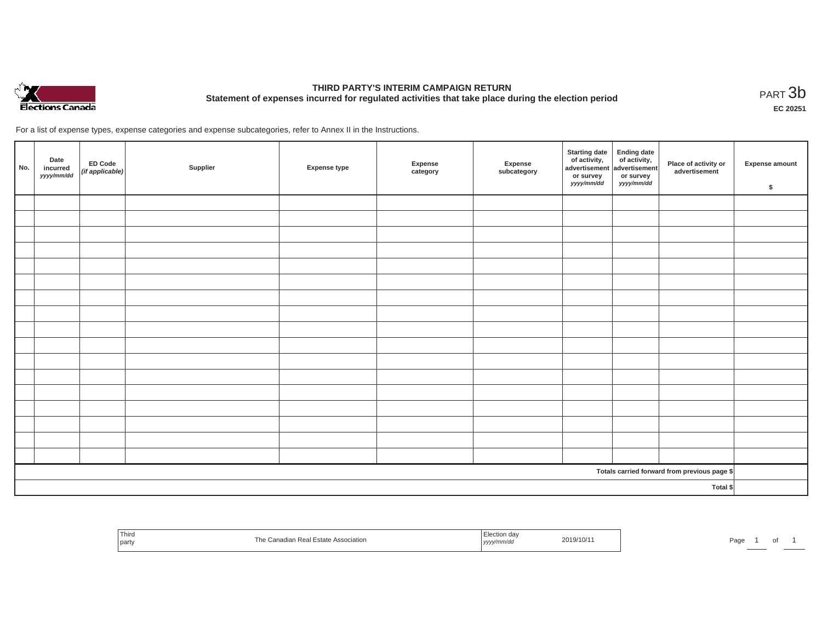

# **THIRD PARTY'S INTERIM CAMPAIGN RETURN Statement of expenses incurred for regulated activities that take place during the election period**<br>PART  $3\text{b}$

**EC 20251**

For a list of expense types, expense categories and expense subcategories, refer to Annex II in the Instructions.

| No.      | Date<br>incurred<br>yyyy/mm/dd | ED Code<br>(if applicable) | Supplier | <b>Expense type</b> | Expense<br>category | Expense<br>subcategory | Starting date<br>of activity,<br>advertisement<br>advertisement<br>dvertisement<br>or survey<br>yyyy/mm/dd | or survey<br>yyyy/mm/dd | Place of activity or<br>advertisement        | Expense amount<br>\$ |
|----------|--------------------------------|----------------------------|----------|---------------------|---------------------|------------------------|------------------------------------------------------------------------------------------------------------|-------------------------|----------------------------------------------|----------------------|
|          |                                |                            |          |                     |                     |                        |                                                                                                            |                         |                                              |                      |
|          |                                |                            |          |                     |                     |                        |                                                                                                            |                         |                                              |                      |
|          |                                |                            |          |                     |                     |                        |                                                                                                            |                         |                                              |                      |
|          |                                |                            |          |                     |                     |                        |                                                                                                            |                         |                                              |                      |
|          |                                |                            |          |                     |                     |                        |                                                                                                            |                         |                                              |                      |
|          |                                |                            |          |                     |                     |                        |                                                                                                            |                         |                                              |                      |
|          |                                |                            |          |                     |                     |                        |                                                                                                            |                         |                                              |                      |
|          |                                |                            |          |                     |                     |                        |                                                                                                            |                         |                                              |                      |
|          |                                |                            |          |                     |                     |                        |                                                                                                            |                         |                                              |                      |
|          |                                |                            |          |                     |                     |                        |                                                                                                            |                         |                                              |                      |
|          |                                |                            |          |                     |                     |                        |                                                                                                            |                         |                                              |                      |
|          |                                |                            |          |                     |                     |                        |                                                                                                            |                         |                                              |                      |
|          |                                |                            |          |                     |                     |                        |                                                                                                            |                         |                                              |                      |
|          |                                |                            |          |                     |                     |                        |                                                                                                            |                         |                                              |                      |
|          |                                |                            |          |                     |                     |                        |                                                                                                            |                         |                                              |                      |
|          |                                |                            |          |                     |                     |                        |                                                                                                            |                         |                                              |                      |
|          |                                |                            |          |                     |                     |                        |                                                                                                            |                         |                                              |                      |
|          |                                |                            |          |                     |                     |                        |                                                                                                            |                         | Totals carried forward from previous page \$ |                      |
| Total \$ |                                |                            |          |                     |                     |                        |                                                                                                            |                         |                                              |                      |

| <sup>l</sup> Third<br><b>party</b> | า Real Estate Association | n dav<br>019/10/1<br>חוזוי<br>,,,,, | Do se<br>⊤dut |
|------------------------------------|---------------------------|-------------------------------------|---------------|
|------------------------------------|---------------------------|-------------------------------------|---------------|